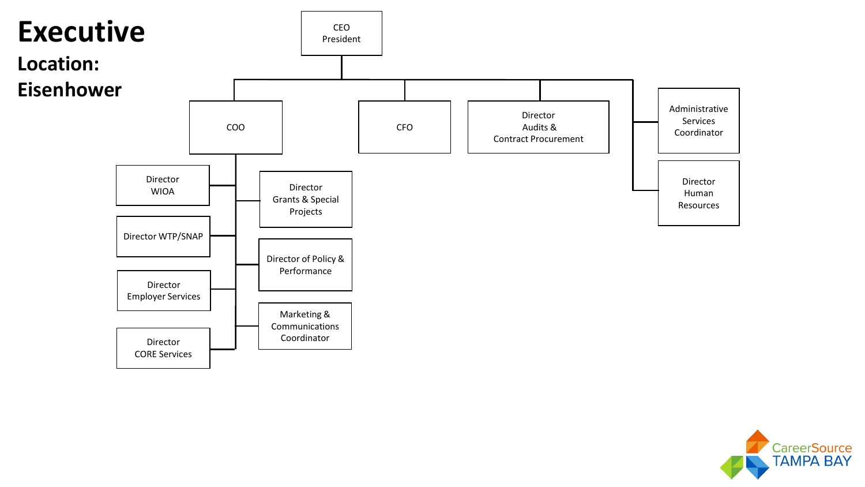

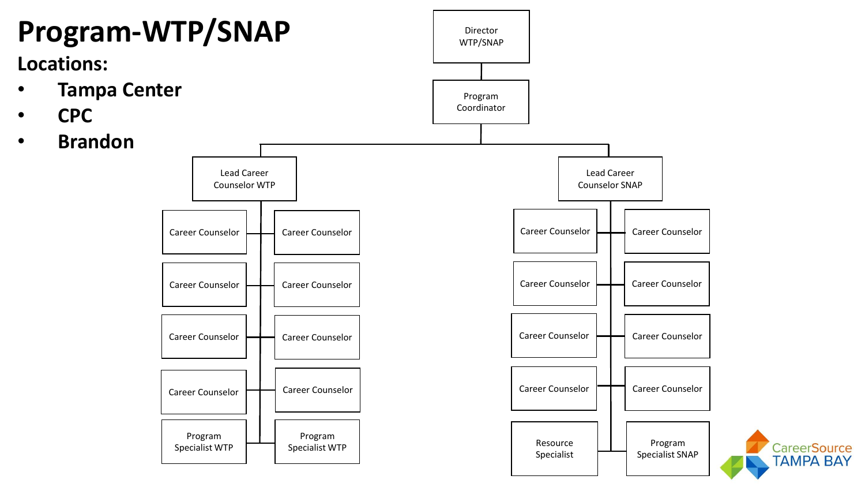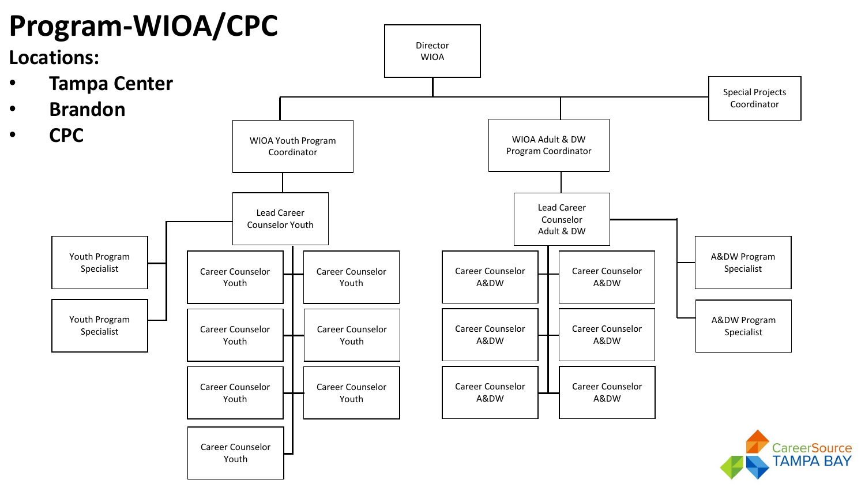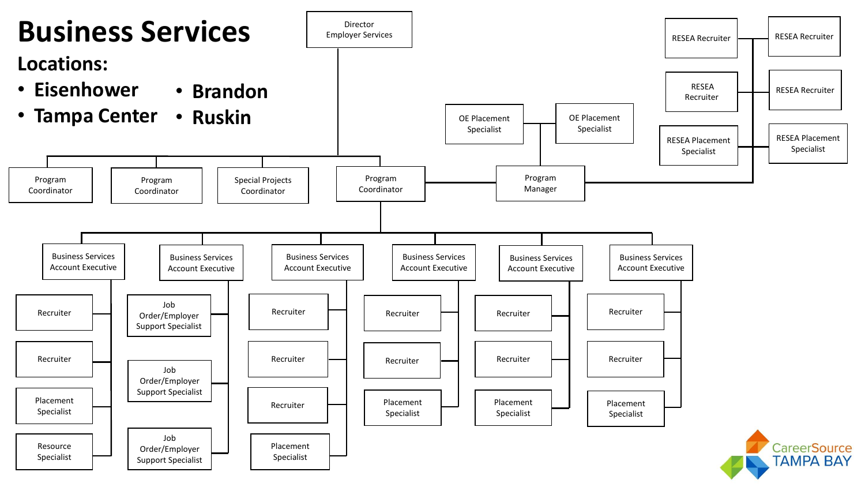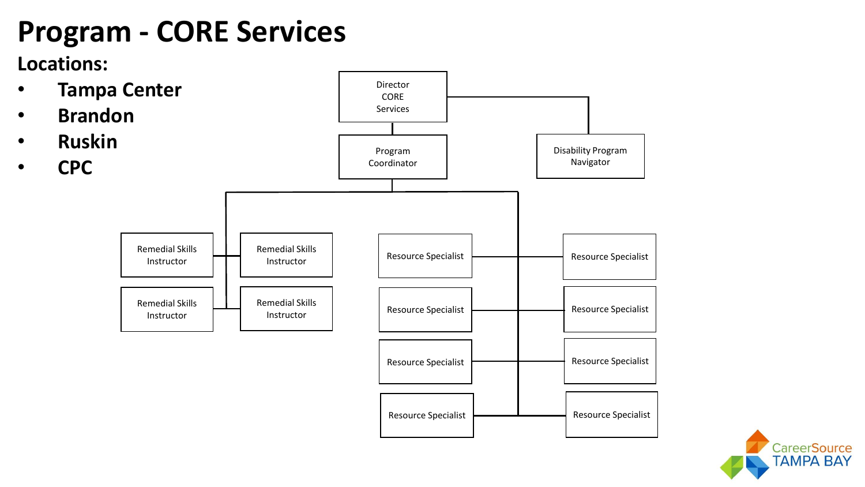# **Program - CORE Services**

#### **Locations:**



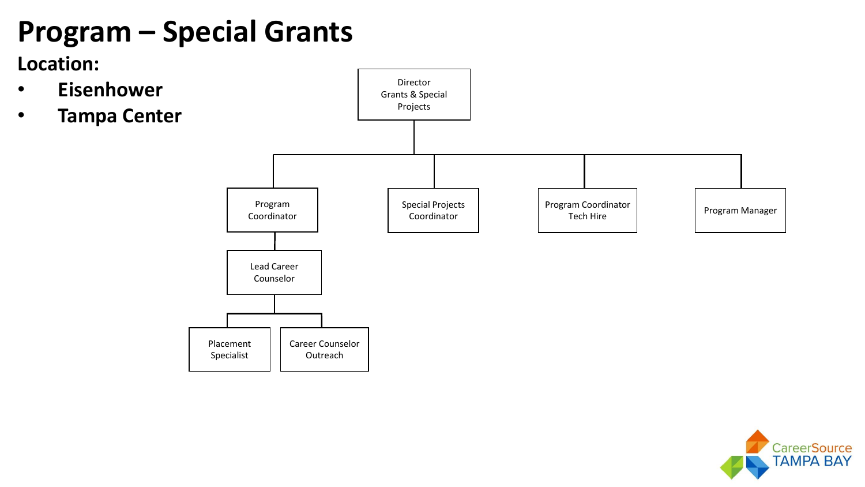# **Program – Special Grants**

**Location:** 

- **Eisenhower**
- **Tampa Center**



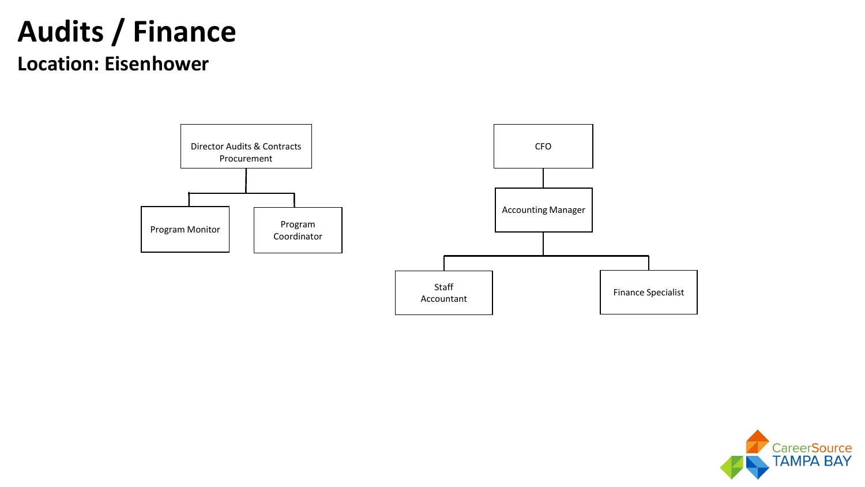# **Audits / Finance**

#### **Location: Eisenhower**



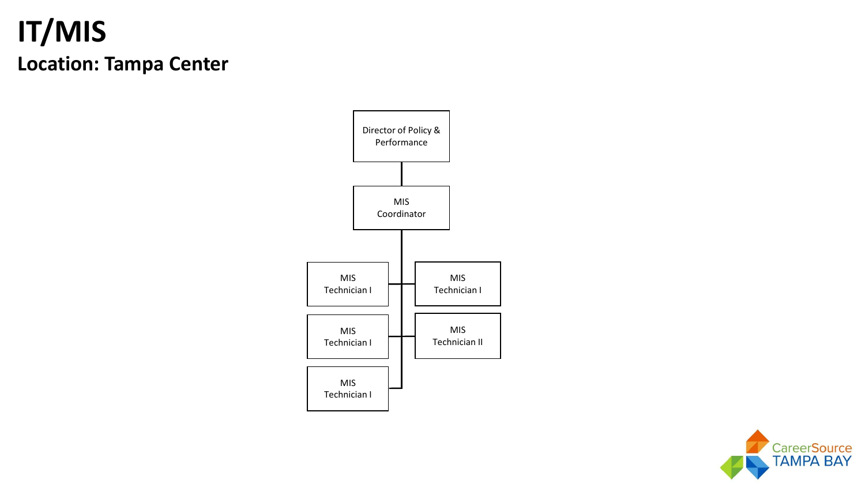## **IT/MIS Location: Tampa Center**



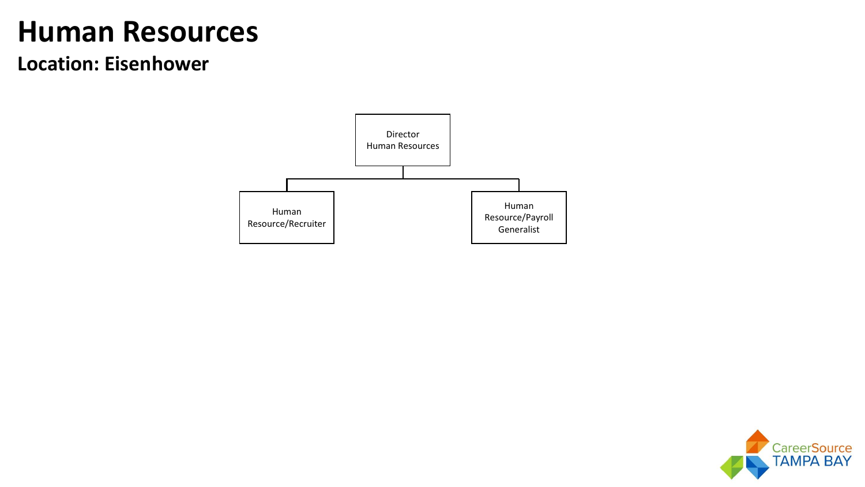## **Human Resources**

#### **Location: Eisenhower**